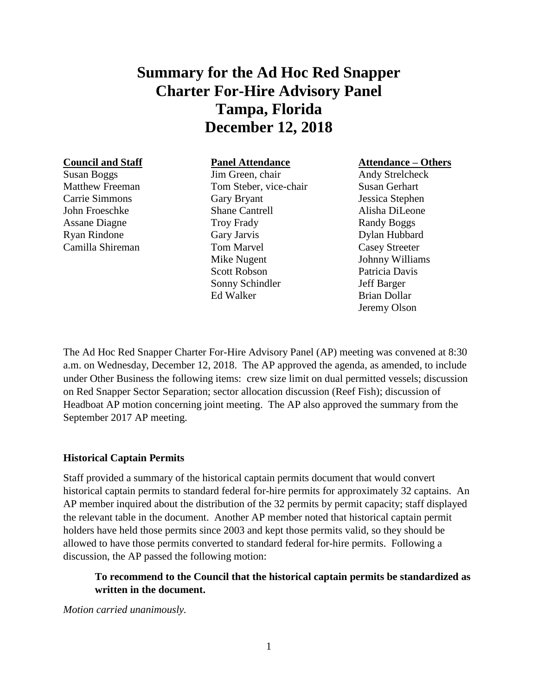# **Summary for the Ad Hoc Red Snapper Charter For-Hire Advisory Panel Tampa, Florida December 12, 2018**

#### **Council and Staff**

Susan Boggs Matthew Freeman Carrie Simmons John Froeschke Assane Diagne Ryan Rindone Camilla Shireman

## **Panel Attendance**

Jim Green, chair Tom Steber, vice-chair Gary Bryant Shane Cantrell Troy Frady Gary Jarvis Tom Marvel Mike Nugent Scott Robson Sonny Schindler Ed Walker

#### **Attendance – Others**

Andy Strelcheck Susan Gerhart Jessica Stephen Alisha DiLeone Randy Boggs Dylan Hubbard Casey Streeter Johnny Williams Patricia Davis Jeff Barger Brian Dollar Jeremy Olson

The Ad Hoc Red Snapper Charter For-Hire Advisory Panel (AP) meeting was convened at 8:30 a.m. on Wednesday, December 12, 2018. The AP approved the agenda, as amended, to include under Other Business the following items: crew size limit on dual permitted vessels; discussion on Red Snapper Sector Separation; sector allocation discussion (Reef Fish); discussion of Headboat AP motion concerning joint meeting. The AP also approved the summary from the September 2017 AP meeting.

#### **Historical Captain Permits**

Staff provided a summary of the historical captain permits document that would convert historical captain permits to standard federal for-hire permits for approximately 32 captains. An AP member inquired about the distribution of the 32 permits by permit capacity; staff displayed the relevant table in the document. Another AP member noted that historical captain permit holders have held those permits since 2003 and kept those permits valid, so they should be allowed to have those permits converted to standard federal for-hire permits. Following a discussion, the AP passed the following motion:

# **To recommend to the Council that the historical captain permits be standardized as written in the document.**

*Motion carried unanimously.*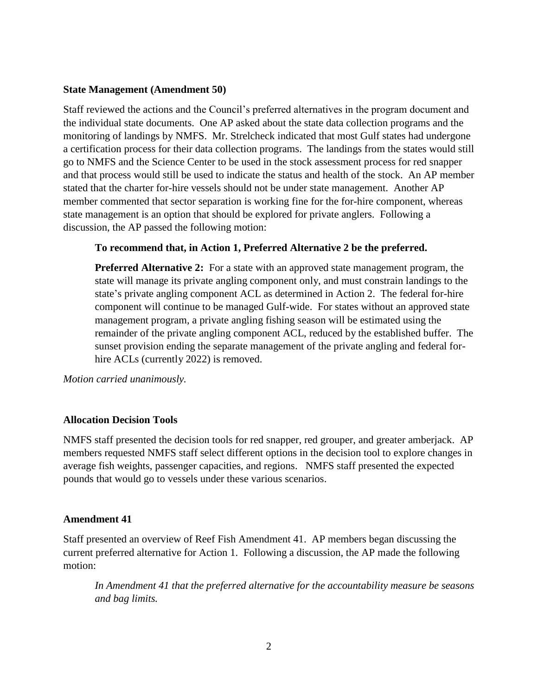#### **State Management (Amendment 50)**

Staff reviewed the actions and the Council's preferred alternatives in the program document and the individual state documents. One AP asked about the state data collection programs and the monitoring of landings by NMFS. Mr. Strelcheck indicated that most Gulf states had undergone a certification process for their data collection programs. The landings from the states would still go to NMFS and the Science Center to be used in the stock assessment process for red snapper and that process would still be used to indicate the status and health of the stock. An AP member stated that the charter for-hire vessels should not be under state management. Another AP member commented that sector separation is working fine for the for-hire component, whereas state management is an option that should be explored for private anglers. Following a discussion, the AP passed the following motion:

#### **To recommend that, in Action 1, Preferred Alternative 2 be the preferred.**

**Preferred Alternative 2:** For a state with an approved state management program, the state will manage its private angling component only, and must constrain landings to the state's private angling component ACL as determined in Action 2. The federal for-hire component will continue to be managed Gulf-wide. For states without an approved state management program, a private angling fishing season will be estimated using the remainder of the private angling component ACL, reduced by the established buffer. The sunset provision ending the separate management of the private angling and federal forhire ACLs (currently 2022) is removed.

*Motion carried unanimously.*

#### **Allocation Decision Tools**

NMFS staff presented the decision tools for red snapper, red grouper, and greater amberjack. AP members requested NMFS staff select different options in the decision tool to explore changes in average fish weights, passenger capacities, and regions. NMFS staff presented the expected pounds that would go to vessels under these various scenarios.

#### **Amendment 41**

Staff presented an overview of Reef Fish Amendment 41. AP members began discussing the current preferred alternative for Action 1. Following a discussion, the AP made the following motion:

*In Amendment 41 that the preferred alternative for the accountability measure be seasons and bag limits.*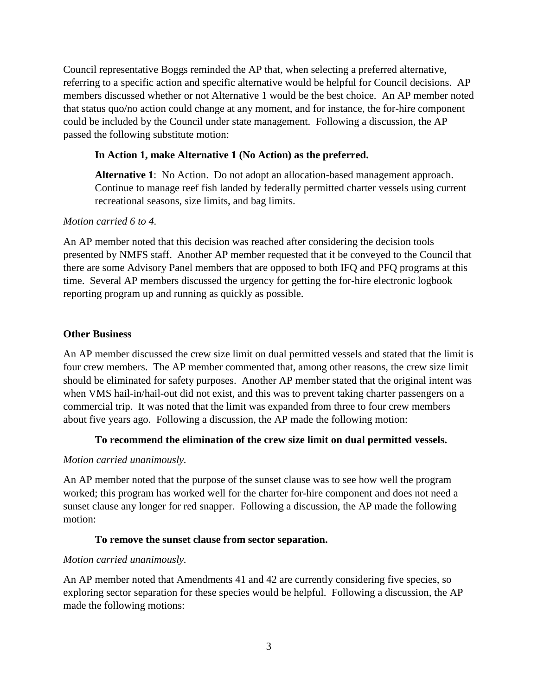Council representative Boggs reminded the AP that, when selecting a preferred alternative, referring to a specific action and specific alternative would be helpful for Council decisions. AP members discussed whether or not Alternative 1 would be the best choice. An AP member noted that status quo/no action could change at any moment, and for instance, the for-hire component could be included by the Council under state management. Following a discussion, the AP passed the following substitute motion:

# **In Action 1, make Alternative 1 (No Action) as the preferred.**

**Alternative 1**: No Action. Do not adopt an allocation-based management approach. Continue to manage reef fish landed by federally permitted charter vessels using current recreational seasons, size limits, and bag limits.

## *Motion carried 6 to 4.*

An AP member noted that this decision was reached after considering the decision tools presented by NMFS staff. Another AP member requested that it be conveyed to the Council that there are some Advisory Panel members that are opposed to both IFQ and PFQ programs at this time. Several AP members discussed the urgency for getting the for-hire electronic logbook reporting program up and running as quickly as possible.

## **Other Business**

An AP member discussed the crew size limit on dual permitted vessels and stated that the limit is four crew members. The AP member commented that, among other reasons, the crew size limit should be eliminated for safety purposes. Another AP member stated that the original intent was when VMS hail-in/hail-out did not exist, and this was to prevent taking charter passengers on a commercial trip. It was noted that the limit was expanded from three to four crew members about five years ago. Following a discussion, the AP made the following motion:

## **To recommend the elimination of the crew size limit on dual permitted vessels.**

## *Motion carried unanimously.*

An AP member noted that the purpose of the sunset clause was to see how well the program worked; this program has worked well for the charter for-hire component and does not need a sunset clause any longer for red snapper. Following a discussion, the AP made the following motion:

#### **To remove the sunset clause from sector separation.**

#### *Motion carried unanimously.*

An AP member noted that Amendments 41 and 42 are currently considering five species, so exploring sector separation for these species would be helpful. Following a discussion, the AP made the following motions: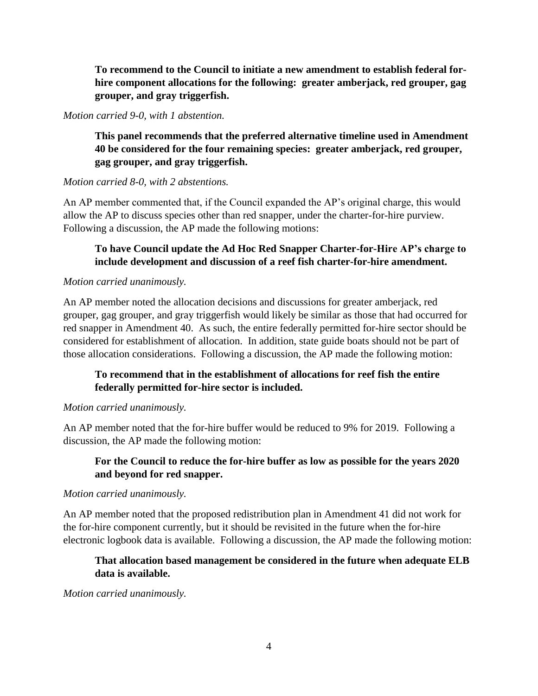**To recommend to the Council to initiate a new amendment to establish federal forhire component allocations for the following: greater amberjack, red grouper, gag grouper, and gray triggerfish.**

#### *Motion carried 9-0, with 1 abstention.*

**This panel recommends that the preferred alternative timeline used in Amendment 40 be considered for the four remaining species: greater amberjack, red grouper, gag grouper, and gray triggerfish.**

#### *Motion carried 8-0, with 2 abstentions.*

An AP member commented that, if the Council expanded the AP's original charge, this would allow the AP to discuss species other than red snapper, under the charter-for-hire purview. Following a discussion, the AP made the following motions:

## **To have Council update the Ad Hoc Red Snapper Charter-for-Hire AP's charge to include development and discussion of a reef fish charter-for-hire amendment.**

## *Motion carried unanimously.*

An AP member noted the allocation decisions and discussions for greater amberjack, red grouper, gag grouper, and gray triggerfish would likely be similar as those that had occurred for red snapper in Amendment 40. As such, the entire federally permitted for-hire sector should be considered for establishment of allocation. In addition, state guide boats should not be part of those allocation considerations. Following a discussion, the AP made the following motion:

## **To recommend that in the establishment of allocations for reef fish the entire federally permitted for-hire sector is included.**

#### *Motion carried unanimously.*

An AP member noted that the for-hire buffer would be reduced to 9% for 2019. Following a discussion, the AP made the following motion:

## **For the Council to reduce the for-hire buffer as low as possible for the years 2020 and beyond for red snapper.**

#### *Motion carried unanimously.*

An AP member noted that the proposed redistribution plan in Amendment 41 did not work for the for-hire component currently, but it should be revisited in the future when the for-hire electronic logbook data is available. Following a discussion, the AP made the following motion:

# **That allocation based management be considered in the future when adequate ELB data is available.**

*Motion carried unanimously.*